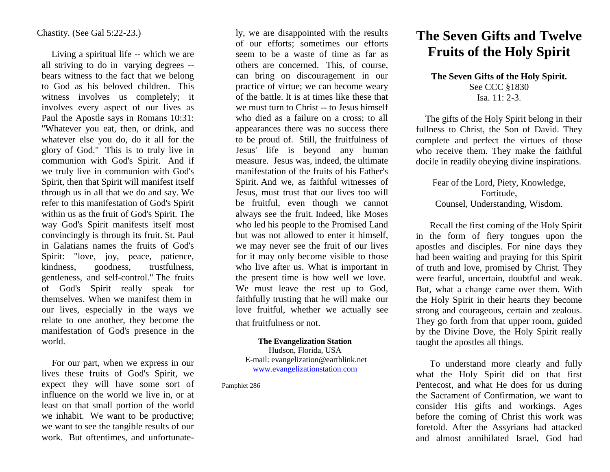#### Chastity. (See Gal 5:22-23.)

 Living a spiritual life -- which we are all striving to do in varying degrees - bears witness to the fact that we belong to God as his beloved children. This witness involves us completely; it involves every aspect of our lives as Paul the Apostle says in Romans 10:31: "Whatever you eat, then, or drink, and whatever else you do, do it all for the glory of God." This is to truly live in communion with God's Spirit. And if we truly live in communion with God's Spirit, then that Spirit will manifest itself through us in all that we do and say. We refer to this manifestation of God's Spirit within us as the fruit of God's Spirit. The way God's Spirit manifests itself most convincingly is through its fruit. St. Paul in Galatians names the fruits of God's Spirit: "love, joy, peace, patience, kindness, goodness, trustfulness, gentleness, and self-control." The fruits of God's Spirit really speak for themselves. When we manifest them in our lives, especially in the ways we relate to one another, they become the manifestation of God's presence in the world.

 For our part, when we express in our lives these fruits of God's Spirit, we expect they will have some sort of influence on the world we live in, or at least on that small portion of the world we inhabit. We want to be productive; we want to see the tangible results of our work. But oftentimes, and unfortunate-

ly, we are disappointed with the results of our efforts; sometimes our efforts seem to be a waste of time as far as others are concerned. This, of course, can bring on discouragement in our practice of virtue; we can become weary of the battle. It is at times like these that we must turn to Christ -- to Jesus himself who died as a failure on a cross; to all appearances there was no success there to be proud of. Still, the fruitfulness of Jesus' life is beyond any human measure. Jesus was, indeed, the ultimate manifestation of the fruits of his Father's Spirit. And we, as faithful witnesses of Jesus, must trust that our lives too will be fruitful, even though we cannot always see the fruit. Indeed, like Moses who led his people to the Promised Land but was not allowed to enter it himself, we may never see the fruit of our lives for it may only become visible to those who live after us. What is important in the present time is how well we love. We must leave the rest up to God, faithfully trusting that he will make our love fruitful, whether we actually see that fruitfulness or not.

#### **The Evangelization Station**

Hudson, Florida, USA E-mail: evangelization@earthlink.net [www.evangelizationstation.com](http://www.pjpiisoe.org/)

Pamphlet 286

# **The Seven Gifts and Twelve Fruits of the Holy Spirit**

### **The Seven Gifts of the Holy Spirit.** See CCC §1830 Isa. 11: 2-3.

 The gifts of the Holy Spirit belong in their fullness to Christ, the Son of David. They complete and perfect the virtues of those who receive them. They make the faithful docile in readily obeying divine inspirations.

#### Fear of the Lord, Piety, Knowledge, Fortitude, Counsel, Understanding, Wisdom.

Recall the first coming of the Holy Spirit in the form of fiery tongues upon the apostles and disciples. For nine days they had been waiting and praying for this Spirit of truth and love, promised by Christ. They were fearful, uncertain, doubtful and weak. But, what a change came over them. With the Holy Spirit in their hearts they become strong and courageous, certain and zealous. They go forth from that upper room, guided by the Divine Dove, the Holy Spirit really taught the apostles all things.

To understand more clearly and fully what the Holy Spirit did on that first Pentecost, and what He does for us during the Sacrament of Confirmation, we want to consider His gifts and workings. Ages before the coming of Christ this work was foretold. After the Assyrians had attacked and almost annihilated Israel, God had